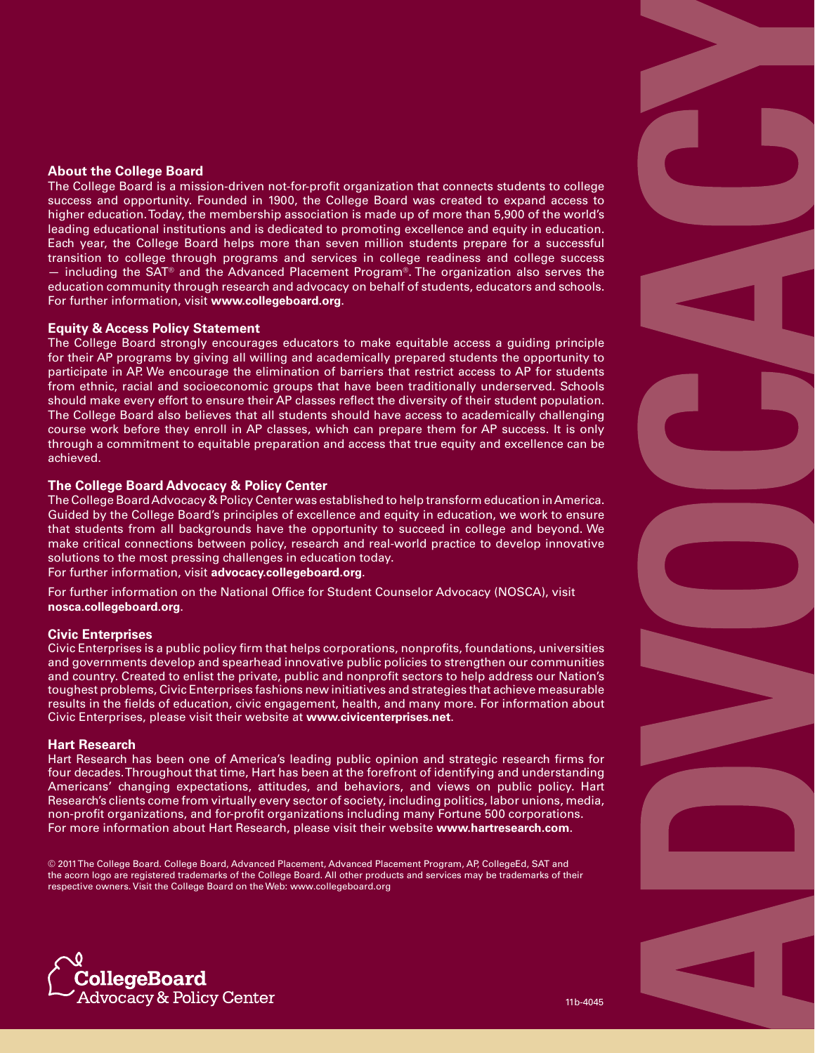### **About the College Board**

The College Board is a mission-driven not-for-profit organization that connects students to college success and opportunity. Founded in 1900, the College Board was created to expand access to higher education. Today, the membership association is made up of more than 5,900 of the world's leading educational institutions and is dedicated to promoting excellence and equity in education. Each year, the College Board helps more than seven million students prepare for a successful transition to college through programs and services in college readiness and college success  $-$  including the SAT<sup>®</sup> and the Advanced Placement Program®. The organization also serves the education community through research and advocacy on behalf of students, educators and schools. For further information, visit **www.collegeboard.org**.

## **Equity & Access Policy Statement**

The College Board strongly encourages educators to make equitable access a guiding principle for their AP programs by giving all willing and academically prepared students the opportunity to participate in AP. We encourage the elimination of barriers that restrict access to AP for students from ethnic, racial and socioeconomic groups that have been traditionally underserved. Schools should make every effort to ensure their AP classes reflect the diversity of their student population. The College Board also believes that all students should have access to academically challenging course work before they enroll in AP classes, which can prepare them for AP success. It is only through a commitment to equitable preparation and access that true equity and excellence can be achieved.

#### **The College Board Advocacy & Policy Center**

The College Board Advocacy & Policy Center was established to help transform education in America. Guided by the College Board's principles of excellence and equity in education, we work to ensure that students from all backgrounds have the opportunity to succeed in college and beyond. We make critical connections between policy, research and real-world practice to develop innovative solutions to the most pressing challenges in education today.

For further information, visit **advocacy.collegeboard.org**.

For further information on the National Office for Student Counselor Advocacy (NOSCA), visit **nosca.collegeboard.org**.

#### **Civic Enterprises**

Civic Enterprises is a public policy firm that helps corporations, nonprofits, foundations, universities and governments develop and spearhead innovative public policies to strengthen our communities and country. Created to enlist the private, public and nonprofit sectors to help address our Nation's toughest problems, Civic Enterprises fashions new initiatives and strategies that achieve measurable results in the fields of education, civic engagement, health, and many more. For information about Civic Enterprises, please visit their website at **www.civicenterprises.net**.

#### **Hart Research**

Hart Research has been one of America's leading public opinion and strategic research firms for four decades. Throughout that time, Hart has been at the forefront of identifying and understanding Americans' changing expectations, attitudes, and behaviors, and views on public policy. Hart Research's clients come from virtually every sector of society, including politics, labor unions, media, non-profit organizations, and for-profit organizations including many Fortune 500 corporations. For more information about Hart Research, please visit their website **www.hartresearch.com**.

© 2011 The College Board. College Board, Advanced Placement, Advanced Placement Program, AP, CollegeEd, SAT and the acorn logo are registered trademarks of the College Board. All other products and services may be trademarks of their respective owners. Visit the College Board on the Web: www.collegeboard.org

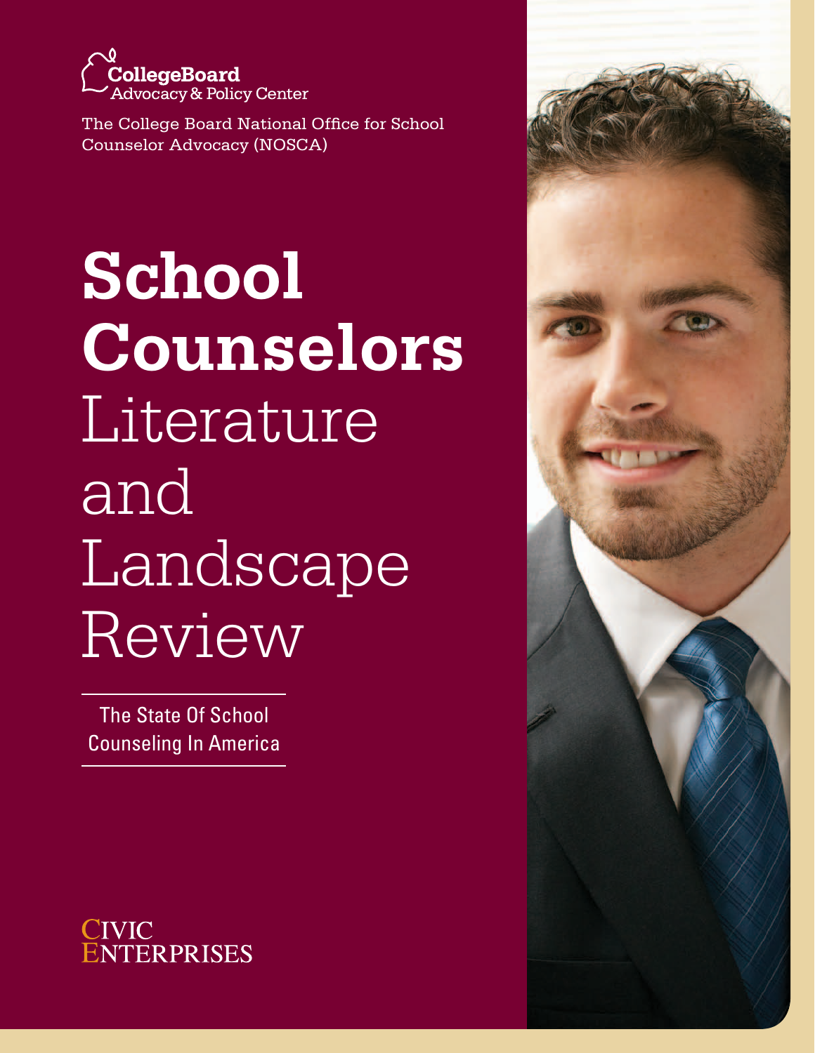

The College Board National Office for School Counselor Advocacy (NOSCA)

**School Counselors Literature** and Landscape Review

The State Of School Counseling In America



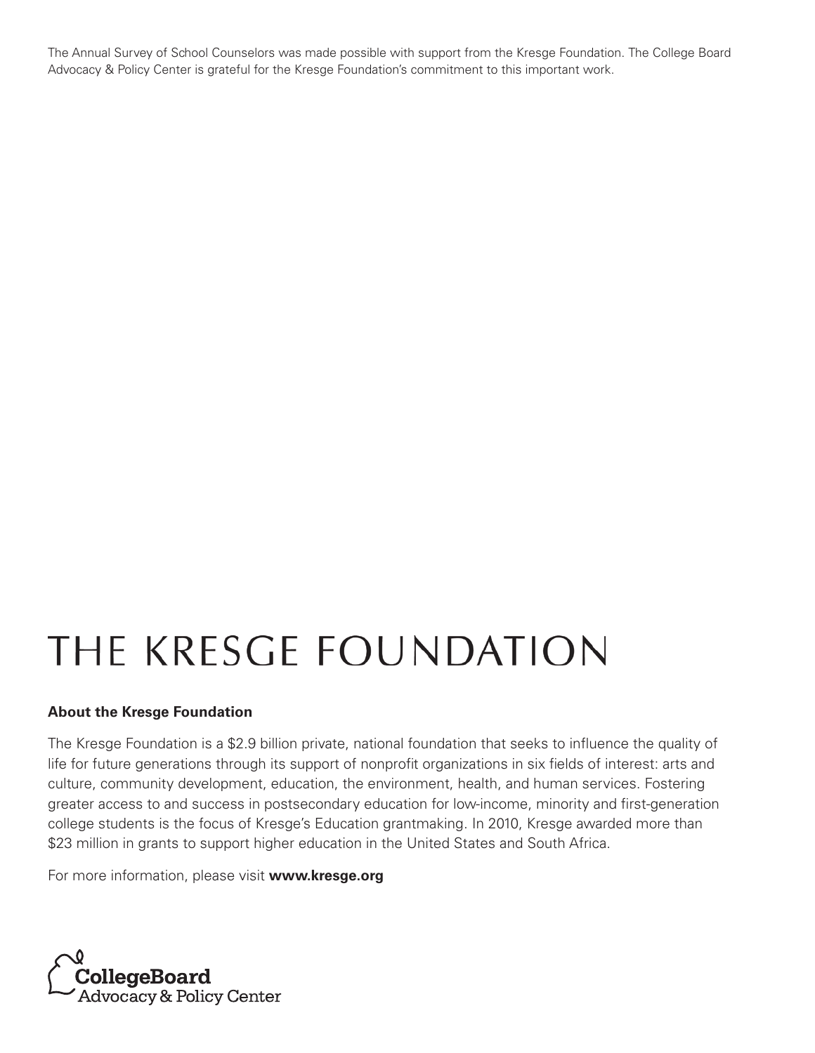The Annual Survey of School Counselors was made possible with support from the Kresge Foundation. The College Board Advocacy & Policy Center is grateful for the Kresge Foundation's commitment to this important work.

# THE KRESGE FOUNDATION

# **About the Kresge Foundation**

The Kresge Foundation is a \$2.9 billion private, national foundation that seeks to influence the quality of life for future generations through its support of nonprofit organizations in six fields of interest: arts and culture, community development, education, the environment, health, and human services. Fostering greater access to and success in postsecondary education for low-income, minority and first-generation college students is the focus of Kresge's Education grantmaking. In 2010, Kresge awarded more than \$23 million in grants to support higher education in the United States and South Africa.

For more information, please visit **www.kresge.org**